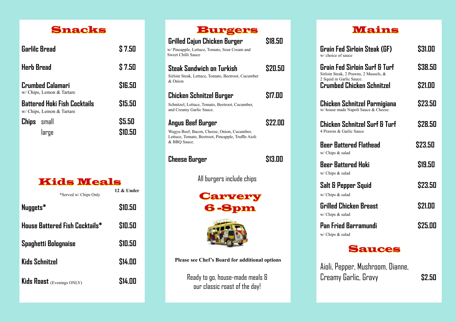

| <b>Garlilc Bread</b>                                      | \$7.50            |
|-----------------------------------------------------------|-------------------|
| <b>Herb Bread</b>                                         | \$7.50            |
| Crumbed Calamari<br>w/ Chips, Lemon & Tartare             | \$16.50           |
| Battered Hoki Fish Cocktails<br>w/ Chips, Lemon & Tartare | \$15.50           |
| <b>Chips</b> small<br>large                               | \$5.50<br>\$10.50 |

| Kids Weals |               |
|------------|---------------|
|            | $12 \&$ Under |

\*Served w/ Chips Only

| Nuggets*                              | \$10.50       | 6-Spm                                                          |
|---------------------------------------|---------------|----------------------------------------------------------------|
| <b>House Battered Fish Cocktails*</b> | \$10.50       |                                                                |
| Spaghetti Bolognaise                  | \$10.50       |                                                                |
| <b>Kids Schnitzel</b>                 | \$14.00       | <b>Please see Chef's Board for additional</b>                  |
| <b>Kids Roast</b> (Evenings ONLY)     | <b>S14.00</b> | Ready to go, house-made meal:<br>our classic roast of the day! |

| <b>Burgers</b><br>Grilled Cajun Chicken Burger<br>w/ Pineapple, Lettuce, Tomato, Sour Cream and<br>Sweet Chilli Sauce                   | \$18.50 |
|-----------------------------------------------------------------------------------------------------------------------------------------|---------|
| Steak Sandwich on Turkish<br>Sirloin Steak, Lettuce, Tomato, Beetroot, Cucumber<br>& Onion                                              | \$20.50 |
| Chicken Schnitzel Burger<br>Schnitzel, Lettuce, Tomato, Beetroot, Cucumber,<br>and Creamy Garlic Sauce.                                 | \$17.00 |
| Angus Beef Burger<br>Wagyu Beef, Bacon, Cheese, Onion, Cucumber,<br>Lettuce, Tomato, Beetroot, Pineapple, Truffle Aioli<br>& BBQ Sauce. | \$22.00 |
| Cheese Burger                                                                                                                           | \$13.00 |
| All burgers include chips                                                                                                               |         |
| <b>Carvery</b><br><b>6-Spm</b>                                                                                                          |         |
| Please see Chef's Board for additional options                                                                                          |         |
| Keady to go, house-made meals &                                                                                                         |         |

**Lunch 1200 Dinner 6pm Dinner 6pm**-8pm

## Mains

| Grain Fed Sirloin Steak (GF)<br>w/ choice of sauce                     | \$31.00 |
|------------------------------------------------------------------------|---------|
| Grain Fed Sirloin Surf & Turf<br>Sirloin Steak, 2 Prawns, 2 Mussels, & | \$38.50 |
| 2 Squid in Garlic Sauce.<br>Crumbed Chicken Schnitzel                  | S21.00  |
| Chicken Schnitzel Parmigiana<br>w/ house made Napoli Sauce & Cheese.   | \$23.50 |
| Chicken Schnitzel Surf & Turf<br>4 Prawns & Garlic Sauce               | \$28.50 |
| Beer Battered Flathead<br>w/ Chips & salad                             | \$23.50 |
| Beer Battered Hoki<br>w/ Chips & salad                                 | \$19.50 |
| Salt & Pepper Squid<br>w/ Chips & salad                                | \$23.50 |
| Grilled Chicken Breast<br>w/ Chips & salad                             | S21.00  |
| Pan Fried Barramundi<br>w/Chips & salad                                | S25.00  |

## Sauces

Aioli, Pepper, Mushroom, Dianne, Creamy Garlic, Gravy **\$2.50**